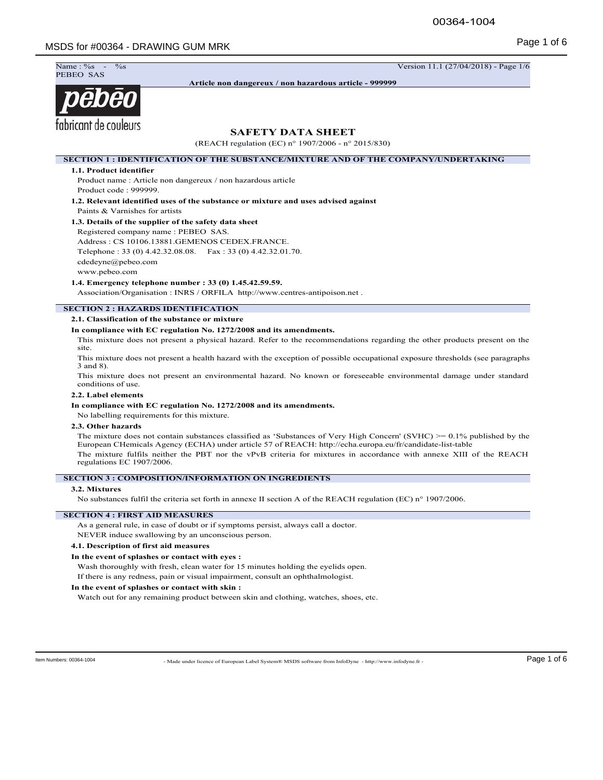

**Article non dangereux / non hazardous article - 999999**

# pēbēo fabricant de couleurs

# **SAFETY DATA SHEET**

(REACH regulation (EC) n° 1907/2006 - n° 2015/830)

**SECTION 1 : IDENTIFICATION OF THE SUBSTANCE/MIXTURE AND OF THE COMPANY/UNDERTAKING**

#### **1.1. Product identifier**

Product name : Article non dangereux / non hazardous article Product code : 999999.

**1.2. Relevant identified uses of the substance or mixture and uses advised against** Paints & Varnishes for artists

# **1.3. Details of the supplier of the safety data sheet**

Registered company name : PEBEO SAS. Address : CS 10106.13881.GEMENOS CEDEX.FRANCE. Telephone : 33 (0) 4.42.32.08.08. Fax : 33 (0) 4.42.32.01.70. cdedeyne@pebeo.com www.pebeo.com

**1.4. Emergency telephone number : 33 (0) 1.45.42.59.59.**

Association/Organisation : INRS / ORFILA http://www.centres-antipoison.net .

# **SECTION 2 : HAZARDS IDENTIFICATION**

#### **2.1. Classification of the substance or mixture**

#### **In compliance with EC regulation No. 1272/2008 and its amendments.**

This mixture does not present a physical hazard. Refer to the recommendations regarding the other products present on the site.

This mixture does not present a health hazard with the exception of possible occupational exposure thresholds (see paragraphs 3 and 8).

This mixture does not present an environmental hazard. No known or foreseeable environmental damage under standard conditions of use.

#### **2.2. Label elements**

## **In compliance with EC regulation No. 1272/2008 and its amendments.**

No labelling requirements for this mixture.

### **2.3. Other hazards**

The mixture does not contain substances classified as 'Substances of Very High Concern' (SVHC) >= 0.1% published by the European CHemicals Agency (ECHA) under article 57 of REACH: http://echa.europa.eu/fr/candidate-list-table The mixture fulfils neither the PBT nor the vPvB criteria for mixtures in accordance with annexe XIII of the REACH regulations EC 1907/2006.

## **SECTION 3 : COMPOSITION/INFORMATION ON INGREDIENTS**

#### **3.2. Mixtures**

No substances fulfil the criteria set forth in annexe II section A of the REACH regulation (EC) n° 1907/2006.

## **SECTION 4 : FIRST AID MEASURES**

As a general rule, in case of doubt or if symptoms persist, always call a doctor.

NEVER induce swallowing by an unconscious person.

# **4.1. Description of first aid measures**

#### **In the event of splashes or contact with eyes :**

Wash thoroughly with fresh, clean water for 15 minutes holding the eyelids open.

If there is any redness, pain or visual impairment, consult an ophthalmologist.

#### **In the event of splashes or contact with skin :**

Watch out for any remaining product between skin and clothing, watches, shoes, etc.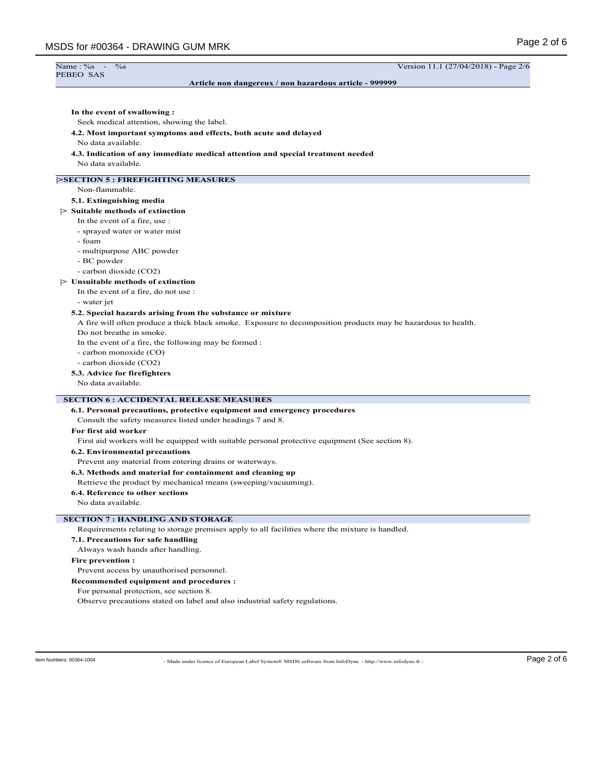| MSDS for #00364 - DRAWING GUM MRK                                                                             | Page 2 of 6                          |
|---------------------------------------------------------------------------------------------------------------|--------------------------------------|
| Name: %<br>$\%$ s<br>$\sim$<br>PEBEO SAS                                                                      | Version 11.1 (27/04/2018) - Page 2/6 |
| Article non dangereux / non hazardous article - 999999                                                        |                                      |
| In the event of swallowing:                                                                                   |                                      |
| Seek medical attention, showing the label.                                                                    |                                      |
| 4.2. Most important symptoms and effects, both acute and delayed<br>No data available.                        |                                      |
| 4.3. Indication of any immediate medical attention and special treatment needed<br>No data available.         |                                      |
| <b>ESECTION 5: FIREFIGHTING MEASURES</b>                                                                      |                                      |
| Non-flammable.                                                                                                |                                      |
| 5.1. Extinguishing media                                                                                      |                                      |
| $\triangleright$ Suitable methods of extinction                                                               |                                      |
| In the event of a fire, use :                                                                                 |                                      |
| - sprayed water or water mist                                                                                 |                                      |
| - foam                                                                                                        |                                      |
| - multipurpose ABC powder                                                                                     |                                      |
| - BC powder                                                                                                   |                                      |
| - carbon dioxide (CO2)                                                                                        |                                      |
| $\triangleright$ Unsuitable methods of extinction                                                             |                                      |
| In the event of a fire, do not use :                                                                          |                                      |
| - water jet                                                                                                   |                                      |
| 5.2. Special hazards arising from the substance or mixture                                                    |                                      |
| A fire will often produce a thick black smoke. Exposure to decomposition products may be hazardous to health. |                                      |
| Do not breathe in smoke.                                                                                      |                                      |
| In the event of a fire, the following may be formed :                                                         |                                      |
| - carbon monoxide (CO)                                                                                        |                                      |
| - carbon dioxide (CO2)                                                                                        |                                      |
| 5.3. Advice for firefighters                                                                                  |                                      |
| No data available.                                                                                            |                                      |
| <b>SECTION 6: ACCIDENTAL RELEASE MEASURES</b>                                                                 |                                      |
| 6.1. Personal precautions, protective equipment and emergency procedures                                      |                                      |
| Consult the safety measures listed under headings 7 and 8.                                                    |                                      |
| For first aid worker                                                                                          |                                      |
| First aid workers will be equipped with suitable personal protective equipment (See section 8).               |                                      |
| 6.2. Environmental precautions                                                                                |                                      |
| Prevent any material from entering drains or waterways.                                                       |                                      |

**6.3. Methods and material for containment and cleaning up**

Retrieve the product by mechanical means (sweeping/vacuuming).

# **6.4. Reference to other sections**

No data available.

# **SECTION 7 : HANDLING AND STORAGE**

Requirements relating to storage premises apply to all facilities where the mixture is handled.

# **7.1. Precautions for safe handling**

Always wash hands after handling.

#### **Fire prevention :**

Prevent access by unauthorised personnel.

**Recommended equipment and procedures :**

For personal protection, see section 8.

Observe precautions stated on label and also industrial safety regulations.

ltem Numbers: 00364-1004 **Page 2 of 6** - Made under licence of European Label System® MSDS software from InfoDyne - http://www.infodyne.fr -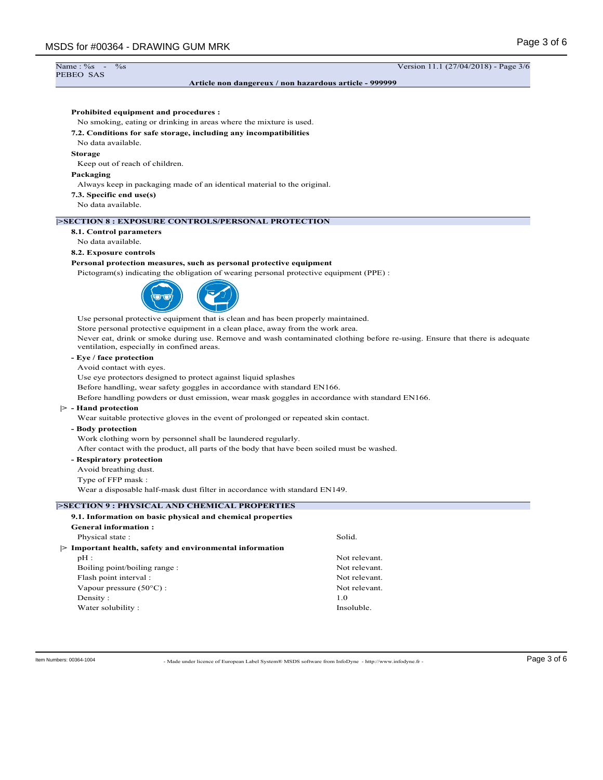# Name: %<br>PEBEO SAS

**Article non dangereux / non hazardous article - 999999**

 $\frac{\%}{\%}$  - Wersion 11.1 (27/04/2018) - Page 3/6

# **Prohibited equipment and procedures :**

No smoking, eating or drinking in areas where the mixture is used.

#### **7.2. Conditions for safe storage, including any incompatibilities**

No data available.

#### **Storage**

Keep out of reach of children.

#### **Packaging**

Always keep in packaging made of an identical material to the original.

**7.3. Specific end use(s)**

No data available.

# **|>SECTION 8 : EXPOSURE CONTROLS/PERSONAL PROTECTION**

**8.1. Control parameters**

# No data available.

#### **8.2. Exposure controls**

#### **Personal protection measures, such as personal protective equipment**

Pictogram(s) indicating the obligation of wearing personal protective equipment (PPE) :



Use personal protective equipment that is clean and has been properly maintained.

Store personal protective equipment in a clean place, away from the work area.

Never eat, drink or smoke during use. Remove and wash contaminated clothing before re-using. Ensure that there is adequate ventilation, especially in confined areas.

# **- Eye / face protection**

Avoid contact with eyes.

Use eye protectors designed to protect against liquid splashes

Before handling, wear safety goggles in accordance with standard EN166.

Before handling powders or dust emission, wear mask goggles in accordance with standard EN166.

#### **|> - Hand protection**

Wear suitable protective gloves in the event of prolonged or repeated skin contact.

**- Body protection**

Work clothing worn by personnel shall be laundered regularly.

After contact with the product, all parts of the body that have been soiled must be washed.

# **- Respiratory protection**

Avoid breathing dust.

Type of FFP mask :

Wear a disposable half-mask dust filter in accordance with standard EN149.

#### **|>SECTION 9 : PHYSICAL AND CHEMICAL PROPERTIES**

| 9.1. Information on basic physical and chemical properties       |               |
|------------------------------------------------------------------|---------------|
| <b>General information:</b>                                      |               |
| Physical state:                                                  | Solid.        |
| Important health, safety and environmental information<br>$\geq$ |               |
| $pH$ :                                                           | Not relevant. |
| Boiling point/boiling range:                                     | Not relevant. |
| Flash point interval :                                           | Not relevant. |
| Vapour pressure $(50^{\circ}$ C) :                               | Not relevant. |
| Density:                                                         | 1.0           |
| Water solubility:                                                | Insoluble.    |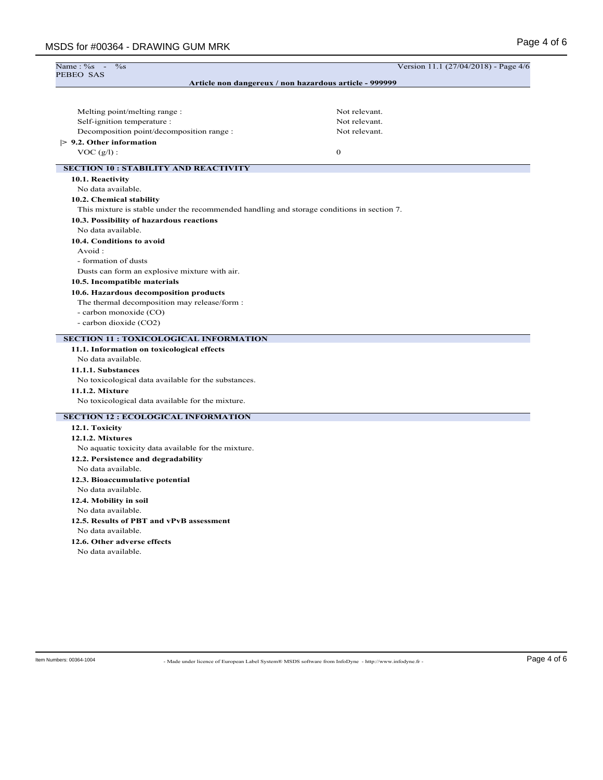| Name: $\%s$ -<br>$\%$ s                                                                    | Version 11.1 (27/04/2018) - Page 4/6 |  |
|--------------------------------------------------------------------------------------------|--------------------------------------|--|
| PEBEO SAS<br>Article non dangereux / non hazardous article - 999999                        |                                      |  |
|                                                                                            |                                      |  |
|                                                                                            |                                      |  |
| Melting point/melting range :                                                              | Not relevant.                        |  |
| Self-ignition temperature :                                                                | Not relevant.                        |  |
| Decomposition point/decomposition range :                                                  | Not relevant.                        |  |
| $> 9.2$ . Other information                                                                |                                      |  |
| $VOC(g/l)$ :                                                                               | $\bf{0}$                             |  |
| <b>SECTION 10 : STABILITY AND REACTIVITY</b>                                               |                                      |  |
| 10.1. Reactivity                                                                           |                                      |  |
| No data available.                                                                         |                                      |  |
| 10.2. Chemical stability                                                                   |                                      |  |
| This mixture is stable under the recommended handling and storage conditions in section 7. |                                      |  |
| 10.3. Possibility of hazardous reactions                                                   |                                      |  |
| No data available.                                                                         |                                      |  |
| 10.4. Conditions to avoid                                                                  |                                      |  |
| Avoid:                                                                                     |                                      |  |
| - formation of dusts                                                                       |                                      |  |
| Dusts can form an explosive mixture with air.                                              |                                      |  |
| 10.5. Incompatible materials                                                               |                                      |  |
| 10.6. Hazardous decomposition products                                                     |                                      |  |
| The thermal decomposition may release/form :                                               |                                      |  |
| - carbon monoxide (CO)                                                                     |                                      |  |
| - carbon dioxide (CO2)                                                                     |                                      |  |
| <b>SECTION 11 : TOXICOLOGICAL INFORMATION</b>                                              |                                      |  |
| 11.1. Information on toxicological effects                                                 |                                      |  |
| No data available.                                                                         |                                      |  |
| 11.1.1. Substances                                                                         |                                      |  |
| No toxicological data available for the substances.                                        |                                      |  |
| 11.1.2. Mixture                                                                            |                                      |  |
| No toxicological data available for the mixture.                                           |                                      |  |
| <b>SECTION 12 : ECOLOGICAL INFORMATION</b>                                                 |                                      |  |
| 12.1. Toxicity                                                                             |                                      |  |
| 12.1.2. Mixtures                                                                           |                                      |  |
| No aquatic toxicity data available for the mixture.                                        |                                      |  |
| 12.2. Persistence and degradability                                                        |                                      |  |
| No data available.                                                                         |                                      |  |
| 12.3. Bioaccumulative potential                                                            |                                      |  |
| No data available.                                                                         |                                      |  |
| 12.4. Mobility in soil                                                                     |                                      |  |
| No data available.                                                                         |                                      |  |
| 12.5. Results of PBT and vPvB assessment                                                   |                                      |  |
| No data available.                                                                         |                                      |  |
| 12.6. Other adverse effects                                                                |                                      |  |
| No data available.                                                                         |                                      |  |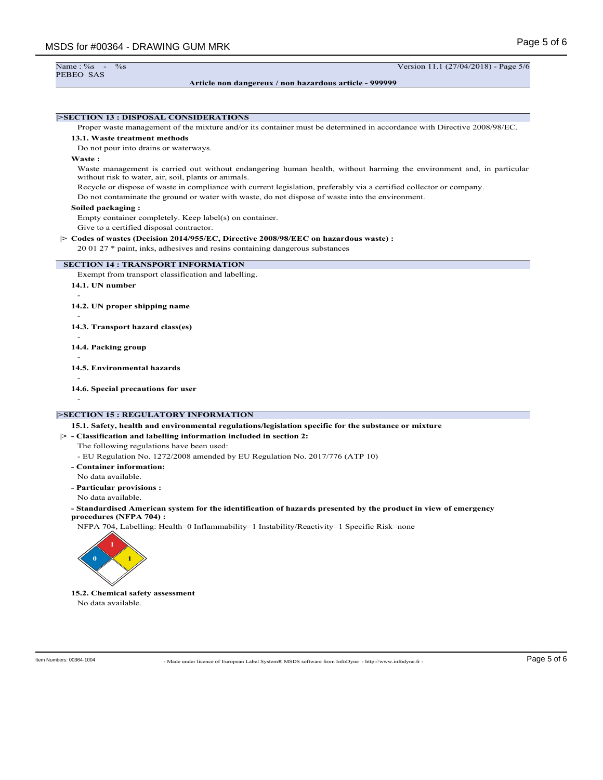```
PEBEO SAS
```
**Article non dangereux / non hazardous article - 999999**

Name : %s - %s Version 11.1 (27/04/2018) - Page 5/6

# **|>SECTION 13 : DISPOSAL CONSIDERATIONS** Proper waste management of the mixture and/or its container must be determined in accordance with Directive 2008/98/EC. **13.1. Waste treatment methods** Do not pour into drains or waterways. **Waste :** Waste management is carried out without endangering human health, without harming the environment and, in particular without risk to water, air, soil, plants or animals. Recycle or dispose of waste in compliance with current legislation, preferably via a certified collector or company. Do not contaminate the ground or water with waste, do not dispose of waste into the environment. **Soiled packaging :** Empty container completely. Keep label(s) on container. Give to a certified disposal contractor. **|> Codes of wastes (Decision 2014/955/EC, Directive 2008/98/EEC on hazardous waste) :** 20 01 27 \* paint, inks, adhesives and resins containing dangerous substances **SECTION 14 : TRANSPORT INFORMATION** Exempt from transport classification and labelling. **14.1. UN number** - **14.2. UN proper shipping name** - **14.3. Transport hazard class(es)** - **14.4. Packing group** - **14.5. Environmental hazards** - **14.6. Special precautions for user** -

# **|>SECTION 15 : REGULATORY INFORMATION**

**15.1. Safety, health and environmental regulations/legislation specific for the substance or mixture**

# **|> - Classification and labelling information included in section 2:**

The following regulations have been used:

- EU Regulation No. 1272/2008 amended by EU Regulation No. 2017/776 (ATP 10)

**- Container information:** No data available.

**- Particular provisions :**

- No data available.
- **Standardised American system for the identification of hazards presented by the product in view of emergency procedures (NFPA 704) :**

NFPA 704, Labelling: Health=0 Inflammability=1 Instability/Reactivity=1 Specific Risk=none



**15.2. Chemical safety assessment** No data available.